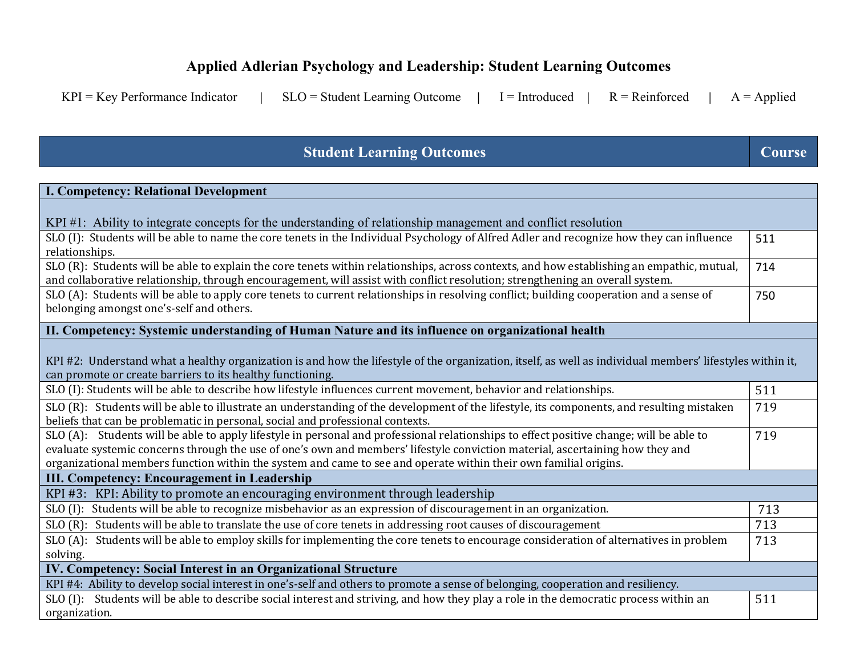## **Applied Adlerian Psychology and Leadership: Student Learning Outcomes**

|  |  | KPI = Key Performance Indicator $ $ SLO = Student Learning Outcome $ $ I = Introduced $ $ R = Reinforced $ $ A = Applied |  |  |  |  |  |  |
|--|--|--------------------------------------------------------------------------------------------------------------------------|--|--|--|--|--|--|
|--|--|--------------------------------------------------------------------------------------------------------------------------|--|--|--|--|--|--|

## **Student Learning Outcomes Course Course**

| <b>I. Competency: Relational Development</b>                                                                                                                                                                                                                                                                                                                                                 |     |  |  |  |  |  |
|----------------------------------------------------------------------------------------------------------------------------------------------------------------------------------------------------------------------------------------------------------------------------------------------------------------------------------------------------------------------------------------------|-----|--|--|--|--|--|
|                                                                                                                                                                                                                                                                                                                                                                                              |     |  |  |  |  |  |
| KPI #1: Ability to integrate concepts for the understanding of relationship management and conflict resolution                                                                                                                                                                                                                                                                               | 511 |  |  |  |  |  |
| SLO (I): Students will be able to name the core tenets in the Individual Psychology of Alfred Adler and recognize how they can influence<br>relationships.                                                                                                                                                                                                                                   |     |  |  |  |  |  |
| SLO (R): Students will be able to explain the core tenets within relationships, across contexts, and how establishing an empathic, mutual,<br>and collaborative relationship, through encouragement, will assist with conflict resolution; strengthening an overall system.                                                                                                                  |     |  |  |  |  |  |
| SLO (A): Students will be able to apply core tenets to current relationships in resolving conflict; building cooperation and a sense of<br>belonging amongst one's-self and others.                                                                                                                                                                                                          |     |  |  |  |  |  |
| II. Competency: Systemic understanding of Human Nature and its influence on organizational health                                                                                                                                                                                                                                                                                            |     |  |  |  |  |  |
| KPI #2: Understand what a healthy organization is and how the lifestyle of the organization, itself, as well as individual members' lifestyles within it,<br>can promote or create barriers to its healthy functioning.                                                                                                                                                                      | 511 |  |  |  |  |  |
| SLO (I): Students will be able to describe how lifestyle influences current movement, behavior and relationships.                                                                                                                                                                                                                                                                            |     |  |  |  |  |  |
| SLO (R): Students will be able to illustrate an understanding of the development of the lifestyle, its components, and resulting mistaken<br>beliefs that can be problematic in personal, social and professional contexts.                                                                                                                                                                  |     |  |  |  |  |  |
| SLO (A): Students will be able to apply lifestyle in personal and professional relationships to effect positive change; will be able to<br>evaluate systemic concerns through the use of one's own and members' lifestyle conviction material, ascertaining how they and<br>organizational members function within the system and came to see and operate within their own familial origins. |     |  |  |  |  |  |
| III. Competency: Encouragement in Leadership                                                                                                                                                                                                                                                                                                                                                 |     |  |  |  |  |  |
| KPI #3: KPI: Ability to promote an encouraging environment through leadership                                                                                                                                                                                                                                                                                                                |     |  |  |  |  |  |
| SLO (I): Students will be able to recognize misbehavior as an expression of discouragement in an organization.                                                                                                                                                                                                                                                                               | 713 |  |  |  |  |  |
| SLO (R): Students will be able to translate the use of core tenets in addressing root causes of discouragement                                                                                                                                                                                                                                                                               | 713 |  |  |  |  |  |
| SLO (A): Students will be able to employ skills for implementing the core tenets to encourage consideration of alternatives in problem                                                                                                                                                                                                                                                       | 713 |  |  |  |  |  |
| solving.                                                                                                                                                                                                                                                                                                                                                                                     |     |  |  |  |  |  |
| IV. Competency: Social Interest in an Organizational Structure                                                                                                                                                                                                                                                                                                                               |     |  |  |  |  |  |
| KPI #4: Ability to develop social interest in one's-self and others to promote a sense of belonging, cooperation and resiliency.                                                                                                                                                                                                                                                             |     |  |  |  |  |  |
| SLO (I): Students will be able to describe social interest and striving, and how they play a role in the democratic process within an<br>organization.                                                                                                                                                                                                                                       | 511 |  |  |  |  |  |